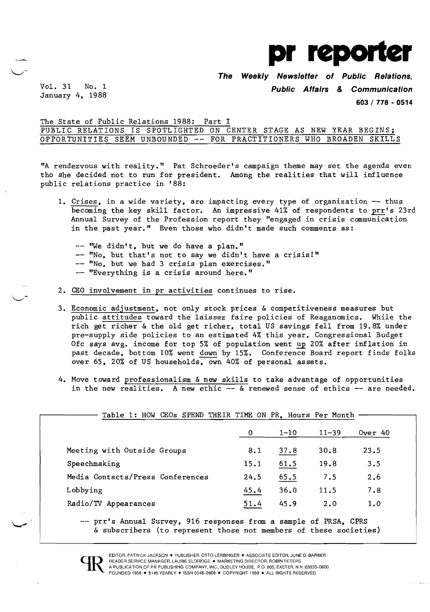

**The Weekly Newsletter of Public Relations,** 

January 4, 1988

..

Vol. 31 No. 1 **Public Affairs & Communication** 

**603/ 778 - 0514** 

The State of Public Relations 1988: Part I PUBLIC RELATIONS IS SPOTLIGHTED ON CENTER STAGE AS NEW YEAR BEGINS; OPPORTUNITIES SEEM UNBOUNDED -- FOR PRACTITIONERS WHO BROADEN SKILLS

"A rendezvous with reality." Pat Schroeder's campaign theme may set the agenda even tho she decided not to run for president. Among the realities that will influence public relations practice in '88:

- 1. Crises, in a wide variety, are impacting every type of organization -- thus becoming the key skill factor. An impressive 41% of respondents to prr's 23rd Annual Survey of the Profession report they "engaged in crisis communication in the past year." Even those who didn't made such comments as:
	- -- "We didn't, but we do have a plan." -- "No, but that's not to say we didn't have a crisis!" -- "No, but we had 3 crisis plan exercises." -- "Everything is a crisis around here."
- 2. CEO involvement in pr activities continues to rise.
- 3. Economic adjustment, not only stock prices & competitiveness measures but public attitudes toward the laissez faire policies of Reaganomics. While the rich get richer & the old get richer, total US savings fell from 19.8% under pre-supply side policies to an estimated 4% this year. Congressional Budget Ofc says avg. income for top 5% of population went up 20% after inflation in past decade, bottom 10% went down by 15%. Conference Board report finds folks over 65, 20% of US households, own 40% of personal assets.
- 4. Move toward professionalism & new skills to take advantage of opportunities in the new realities. A new ethic  $\overline{-}$  & renewed sense of ethics  $\overline{-}$  are needed.

| $\mathbf{0}$ |          |           |           |
|--------------|----------|-----------|-----------|
|              | $1 - 10$ | $11 - 39$ | Over $40$ |
| 8.1          | 37.8     | 30.8      | 23.5      |
| 15.1         | 61.5     | 19.8      | 3.5       |
| 24.5         | 65.5     | 7.5       | 2.6       |
| 45.4         | 36.0     | 11.5      | 7.8       |
| 51.4         | 45.9     | 2.0       | 1.0       |
|              |          |           |           |

& subscribers (to represent those not members of these societies)

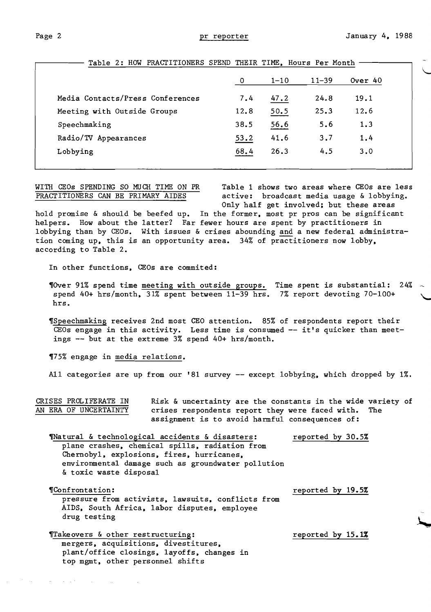$\setminus$ 

|                                  | -0   | $1 - 10$ | $11 - 39$ | Over 40 |
|----------------------------------|------|----------|-----------|---------|
| Media Contacts/Press Conferences | 7.4  | 47.2     | 24.8      | 19.1    |
| Meeting with Outside Groups      | 12.8 | 50.5     | 25.3      | 12.6    |
| Speechmaking                     | 38.5 | 56.6     | 5.6       | 1.3     |
| Radio/TV Appearances             | 53.2 | 41.6     | 3.7       | 1.4     |
| Lobbying                         | 68.4 | 26.3     | 4.5       | 3.0     |

Table 2: HOW PRACTITIONERS SPEND THEIR TIME. Hours Per Month

WITH CEOs SPENDING SO MUCH TIME ON PR<br>
PRACTITIONERS CAN BE PRIMARY AIDES active: broadcast media usage & lobbying. active: broadcast media usage & lobbying. Only half get involved; but these areas

hold promise & should be beefed up. In the former, most pr pros can be significant helpers. How about the latter? Far fewer hours are spent by practitioners in lobbying than by GEOs. With issues & crises abounding and a new federal administration coming up. this is an opportunity area. 34% of practitioners now lobby. according to Table 2.

In other functions, CEOs are commited:

~Over 91% spend time meeting with outside groups. Time spent is substantial: 24% spend 40+ hrs/month. 31% spent between 11-39 hrs. 7% report devoting 70-100+ hrs.

~Speechmaking receives 2nd most CEO attention. 85% of respondents report their  $\overline{\text{CEOs engage}}$  in this activity. Less time is consumed -- it's quicker than meetings -- but at the extreme 3% spend 40+ hrs/month.

~75% engage in media relations.

All categories are up from our '81 survey -- except lobbying, which dropped by 1%.

CRISES PROLIFERATE IN Risk & uncertainty are the constants in the wide variety of AN ERA OF UNCERTAINTY crises respondents report they were faced with. The assignment is to avoid harmful consequences of:

Thatural & technological accidents & disasters: reported by 30.5% plane crashes. chemical spills. radiation from Chernoby1. explosions. fires. hurricanes. environmental damage such as groundwater pollution & toxic waste disposal

~Confrontation: reported by 19.5% pressure from activists. lawsuits. conflicts from AIDS. South Africa. labor disputes. employee drug testing

Takeovers & other restructuring: Takeovers & other restructuring: mergers. acquisitions. divestitures. plant/office closings. layoffs. changes in top mgmt. other personnel shifts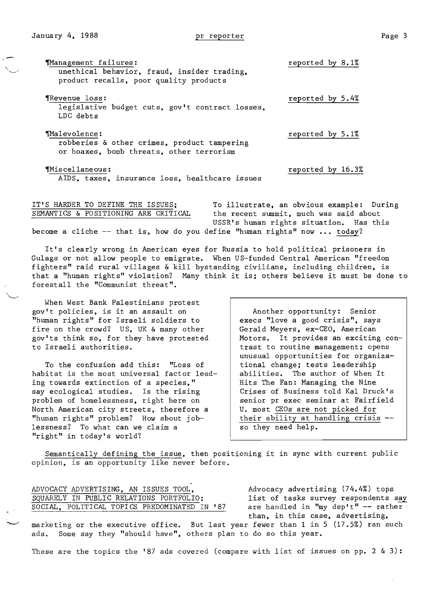~anagement failures: reported by 8.1% unethical behavior, fraud, insider trading, product recalls, poor quality products ~Revenue loss: reported by 5.4% legislative budget cuts, gov't contract losses, LDC debts  $\textcolor{red}{\textbf{M} \textbf{A} \textbf{1} \textbf{e} \textbf{v} \textbf{0}}$  . The mass of the mass of the mass of the mass of the mass of the mass of the mass of the mass of the mass of the mass of the mass of the mass of the mass of the mass of the ma robberies & other crimes, product tampering or hoaxes, bomb threats, other terrorism

~Miscellaneous: reported by 16.3% AIDS, taxes, insurance loss, healthcare issues

IT'S HARDER TO DEFINE THE ISSUES; To illustrate, an obvious example: During SEMANTICS & POSITIONING ARE CRITICAL the recent summit, much was said about USSR's human rights situation. Has this become a cliche -- that is, how do you define "human rights" now ... today?

It's clearly wrong in American eyes for Russia to hold political prisoners in Gulags or not allow people to emigrate. When US-funded Central American "freedom fighters" raid rural villages & kill bystanding civilians, including children, is that a "human rights" violation? Many think it is; others believe it must be done to forestall the "Communist threat".

When West Bank Palestinians protest gov't policies, is it an assault on "human rights" for Israeli soldiers to fire on the crowd? US, UK & many other gov'ts think so, for they have protested to Israeli authorities.

To the confusion add this: "Loss of habitat is the most universal factor leading towards extinction of a species," say ecological studies. Is the rising problem of homelessness, right here on North American city streets, therefore a "human rights" problem? How about joblessness? To what can we claim a "right" in today's world?

Another opportunity: Senior execs "love a good crisis", says Gerald Meyers, ex-CEO, American Motors. It provides an exciting contrast to routine management; opens unusual opportunities for organizational change; tests leadership abilities. The author of When It Hits The Fan: Managing the Nine Crises of Business told Kal Druck's senior pr exec seminar at Fairfield U. most CEOs are not picked for their ability at handling crisis so they need help.

Semantically defining the issue, then positioning it in sync with current public opinion, is an opportunity like never before.

ADVOCACY ADVERTISING, AN ISSUES TOOL, Advocacy advertising (74.4%) tops SQUARELY IN PUBLIC RELATIONS PORTFOLIO; list of tasks survey respondents say<br>SOCIAL, POLITICAL TOPICS PREDOMINATED IN '87 are handled in "my dep't" -- rather SOCIAL, POLITICAL TOPICS PREDOMINATED IN '87

than, in this case, advertising,

marketing or the executive office. But last year fewer than 1 in 5 (17.5%) ran such ads. Some say they "should have", others plan to do so this year.

These are the topics the '87 ads covered (compare with list of issues on pp. 2  $\&$  3):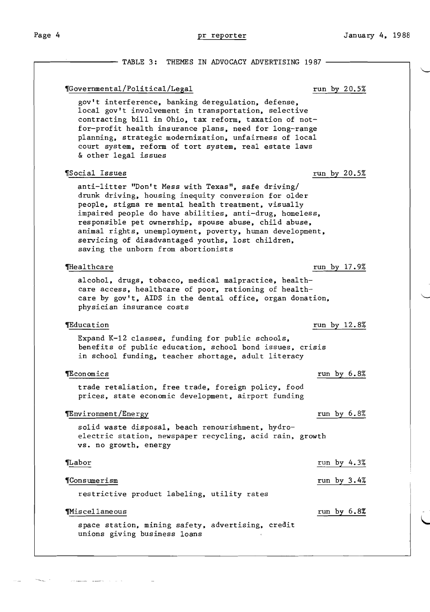**The Company of the Company of the Company of the Company of the Company of the Company of the Company of the Co** 

Page 4 **pr reporter pr reporter** January 4, 1988

- TABLE 3: THEMES IN ADVOCACY ADVERTISING 1987 -~Governmental/Political/Legal run by 20.5% gov't interference, banking deregulation, defense, local gov't involvement in transportation, selective contracting bill in Ohio, tax reform, taxation of not for-profit health insurance plans, need for long-range planning, strategic modernization, unfairness of local court system, reform of tort system, real estate laws & other legal issues ~Social Issues run by 20.5% anti-litter "Don't Mess with Texas", safe driving/ drunk driving, housing inequity conversion for older people, stigma re mental health treatment, visually impaired people do have abilities, anti-drug, homeless, responsible pet ownership, spouse abuse, child abuse, animal rights, unemployment, poverty, human development, servicing of disadvantaged youths, lost children, saving the unborn from abortionists The filtrate that the state of the state of the state of the state of the state of the state of the state of the state of the state of the state of the state of the state of the state of the state of the state of the state alcohol, drugs, tobacco, medical malpractice, health care access, healthcare of poor, rationing of health care by gov't, AIDS in the dental office, organ donation, physician insurance costs TEducation **and the set of the set of the set of the set of the set of the set of the set of the set of the set of the set of the set of the set of the set of the set of the set of the set of the set of the set of the set** Expand K-12 classes, funding for public schools, benefits of public education, school bond issues, crisis in school funding, teacher shortage, adult literacy ~conomics run by 6.8% trade retaliation, free trade, foreign policy, food prices, state economic development, airport funding ~nvironment/Energy run by 6.8% solid waste disposal, beach renourishment, hydroelectric station, newspaper recycling, acid rain, growth vs. no growth, energy ~abor run by 4.3% ~Consumerism run by 3.4% restrictive product labeling, utility rates This cellane ous run by 6.8% space station, mining safety, advertising, credit unions giving business loans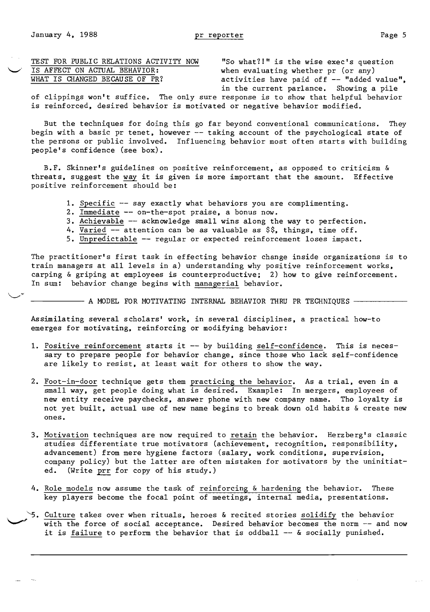|  |  |  |                                |  | TEST FOR PUBLIC RELATIONS ACTIVITY NOW |  |
|--|--|--|--------------------------------|--|----------------------------------------|--|
|  |  |  | IS AFFECT ON ACTUAL BEHAVIOR:  |  |                                        |  |
|  |  |  | WHAT IS CHANGED BECAUSE OF PR? |  |                                        |  |

"So what?!" is the wise exec's question when evaluating whether pr (or any) activities have paid off -- "added value", in the current parlance. Showing a pile

of clippings won't suffice. The only sure response is to show that helpful behavior is reinforced, desired behavior is motivated or negative behavior modified.

But the techniques for doing this go far beyond conventional communications. They begin with a basic pr tenet, however -- taking account of the psychological state of the persons or public involved. Influencing behavior most often starts with building people's confidence (see box).

B.F. Skinner's guidelines on positive reinforcement, as opposed to criticism & threats, suggest the way it is given is more important that the amount. Effective positive reinforcement should be:

- 1. Specific -- say exactly what behaviors you are complimenting.
- 2. Immediate -- on-the-spot praise, a bonus now.
- 3. Achievable -- acknowledge small wins along the way to perfection.
- 4. Varied  $-$  attention can be as valuable as  $\S$ , things, time off.
- S. Unpredictable -- regular or expected reinforcement loses impact.

The practitioner's first task in effecting behavior change inside organizations is to train managers at all levels in a) understanding why positive reinforcement works, carping & griping at employees is counterproductive; 2) how to give reinforcement. In sum: behavior change begins with managerial behavior.

- A MODEL FOR MOTIVATING INTERNAL BEHAVIOR THRU PR TECHNIQUES -

Assimilating several scholars' work, in several disciplines, a practical how-to emerges for motivating, reinforcing or modifying behavior:

- 1. Positive reinforcement starts it -- by building self-confidence. This is necessary to prepare people for behavior change, since those who lack self-confidence are likely to resist, at least wait for others to show the way.
- 2. Foot-in-door technique gets them practicing the behavior. As a trial, even in a small way, get people doing what is desired. Example: In mergers, employees of new entity receive paychecks, answer phone with new company name. Tho loyalty is not yet built, actual use of new name begins to break down old habits & create new ones.
- 3. Motivation techniques are now required to retain the behavior. Herzberg's classic studies differentiate true motivators (achievement, recognition, responsibility, advancement) from mere hygiene factors (salary, work conditions, supervision, company policy) but the latter are often mistaken for motivators by the uninitiated. (Write prr for copy of his study.)
- 4. Role models now assume the task of reinforcing & hardening the behavior. These key players become the focal point of meetings, internal media, presentations.
- Culture takes over when rituals, heroes & recited stories solidify the behavior with the force of social acceptance. Desired behavior becomes the norm -- and now it is failure to perform the behavior that is oddball  $-$ - & socially punished.